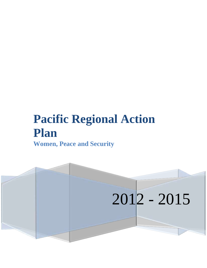# **Pacific Regional Action Plan Women, Peace and Security**

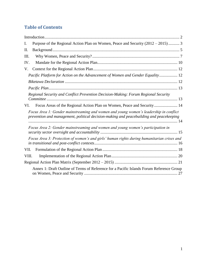# **Table of Contents**

| Purpose of the Regional Action Plan on Women, Peace and Security (2012 – 2015) 3<br>I.                                                                                           |  |
|----------------------------------------------------------------------------------------------------------------------------------------------------------------------------------|--|
| II.                                                                                                                                                                              |  |
| Ш.                                                                                                                                                                               |  |
| IV.                                                                                                                                                                              |  |
| V.                                                                                                                                                                               |  |
| Pacific Platform for Action on the Advancement of Women and Gender Equality 12                                                                                                   |  |
|                                                                                                                                                                                  |  |
|                                                                                                                                                                                  |  |
| Regional Security and Conflict Prevention Decision-Making: Forum Regional Security                                                                                               |  |
| Focus Areas of the Regional Action Plan on Women, Peace and Security 14<br>VI.                                                                                                   |  |
| Focus Area 1: Gender mainstreaming and women and young women's leadership in conflict<br>prevention and management, political decision-making and peacebuilding and peacekeeping |  |
| Focus Area 2: Gender mainstreaming and women and young women's participation in                                                                                                  |  |
| Focus Area 3: Protection of women's and girls' human rights during humanitarian crises and                                                                                       |  |
| VII.                                                                                                                                                                             |  |
| VIII.                                                                                                                                                                            |  |
|                                                                                                                                                                                  |  |
| Annex 1: Draft Outline of Terms of Reference for a Pacific Islands Forum Reference Group                                                                                         |  |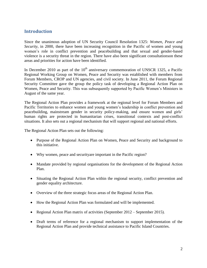# <span id="page-2-0"></span>**Introduction**

Since the unanimous adoption of UN Security Council Resolution 1325: *Women, Peace and Security*, in 2000, there have been increasing recognition in the Pacific of women and young women"s role in conflict prevention and peacebuilding and that sexual and gender-based violence is a security threat in the region. There have also been significant consultationson these areas and priorities for action have been identified.

In December 2010 as part of the  $10<sup>th</sup>$  anniversary commemoration of UNSCR 1325, a Pacific Regional Working Group on Women, Peace and Security was established with members from Forum Members, CROP and UN agencies, and civil society. In June 2011, the Forum Regional Security Committee gave the group the policy task of developing a Regional Action Plan on Women, Peace and Security. This was subsequently supported by Pacific Women"s Ministers in August of the same year.

The Regional Action Plan provides a framework at the regional level for Forum Members and Pacific Territories to enhance women and young women"s leadership in conflict prevention and peacebuilding, mainstream gender in security policy-making, and ensure women and girls" human rights are protected in humanitarian crises, transitional contexts and post-conflict situations. It also sets out a regional mechanism that will support regional and national efforts.

The Regional Action Plan sets out the following:

- Purpose of the Regional Action Plan on Women, Peace and Security and background to this initiative.
- Why women, peace and securityare important in the Pacific region?
- Mandate provided by regional organisations for the development of the Regional Action Plan.
- Situating the Regional Action Plan within the regional security, conflict prevention and gender equality architecture.
- Overview of the three strategic focus areas of the Regional Action Plan.
- How the Regional Action Plan was formulated and will be implemented.
- Regional Action Plan matrix of activities (September 2012 September 2015).
- Draft terms of reference for a regional mechanism to support implementation of the Regional Action Plan and provide technical assistance to Pacific Island Countries.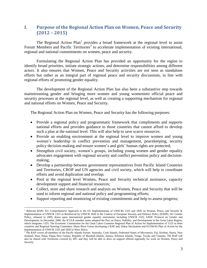# <span id="page-3-0"></span>**I. Purpose of the Regional Action Plan on Women, Peace and Security (2012 – 2015)**

The Regional Action  $Plan<sup>1</sup>$  provides a broad framework at the regional level to assist Forum Members and Pacific Territories<sup>2</sup> to accelerate implementation of existing international, regional and national commitments on women, peace and security.

Formulating the Regional Action Plan has provided an opportunity for the region to identify broad priorities, initiate strategic actions, and determine responsibilities among different actors. It also ensures that Women, Peace and Security activities are not seen as standalone efforts but rather as an integral part of regional peace and security discussions, in line with regional efforts of promoting gender equality.

The development of the Regional Action Plan has also been a substantive step towards mainstreaming gender and bringing more women and young womeninto official peace and security processes at the regional level, as well as creating a supporting mechanism for regional and national efforts on Women, Peace and Security.

The Regional Action Plan on Women, Peace and Security has the following purposes:

- Provide a regional policy and programmatic framework that compliments and supports national efforts and provides guidance to those countries that cannot afford to develop such a plan at the national level. This will also help to save scarce resources.
- Provide an enabling environment at the regional level to improve women and young women's leadership in conflict prevention and management, peacekeeping, security policy decision-making and ensure women"s and girls" human rights are protected;
- Strengthen civil society, women's groups, including young women and gender equality advocates engagement with regional security and conflict prevention policy and decisionmaking;
- Develop a partnership between government representatives from Pacific Island Countries and Territories, CROP and UN agencies and civil society, which will help to coordinate efforts and avoid duplication and overlap;
- Pool at the regional level Women, Peace and Security technical assistance, capacity development support and financial resources;
- Collect, store and share research and analysis on Women, Peace and Security that will be used to inform regional and national policy and programming efforts;
- Support reporting and monitoring of existing commitments and help to assess progress;

<sup>&</sup>lt;sup>1</sup> Relevant RAPs: EU Comprehensive Approach to the EU Implementation of UNSCRs 1325 and 1820 on Women, Peace, and Security  $\&$ Implementation of UNSCR 1325 as Reinforced by UNSCR 1820 in the Context of European Security and Defence Policy (ESDP); AU Gender Policy, released in 2009, draws upon international gender equality instruments including UNSCR 1325; SADC Protocol on Gender and Development; In December 2006, the ICGLR member states adopted the Pact on Peace, Stability, and Development in the Great Lakes Region, which integrates 1325; The Economic Commission for the Great Lakes Countries Regional Plan of Action for Implementation of 1325 in three countries and Regional Steering Committee; Mano River Union developing a RAP and; Dakar Declaration and ECOWAS Plan of Action for the Implementation of UNSCR 1325 and 1820 in West Africa.

 $2 \text{ The RAP covers all members of the Pacific Islands Forum: Australia, Cook Islands, Federated States of Micronesia, Fiji, Kiribati, Nauru, New }$ Zealand, Niue, Palau, Papua New Guinea, Republic of Marshall Islands, Samoa, Solomon Islands, Tonga, Tuvalu and Vanuatu. The RAP will also be shared with Territories covered by SPC and they will be able to draw on support offered regionally for work on Women, Peace and Security.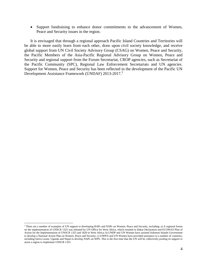Support fundraising to enhance donor commitments to the advancement of Women, Peace and Security issues in the region.

It is envisaged that through a regional approach Pacific Island Countries and Territories will be able to more easily learn from each other, draw upon civil society knowledge, and receive global support from UN Civil Society Advisory Group (CSAG) on Women, Peace and Security, the Pacific Members of the Asia-Pacific Regional Advisory Group on Women, Peace and Security and regional support from the Forum Secretariat, CROP agencies, such as Secretariat of the Pacific Community (SPC), Regional Law Enforcement Secretariats and UN agencies. Support for Women, Peace and Security has been reflected in the development of the Pacific UN Development Assistance Framework (UNDAF) 2013-2017.<sup>3</sup>

<sup>&</sup>lt;sup>3</sup> There are a number of examples of UN support to developing RAPs and NAPs on Women, Peace and Security, including: a) A regional forum on the implementation of UNSCR 1325 was initiated by UN Office for West Africa, which resulted in Dakar Declaration and ECOWAS Plan of Action for the Implementation of UNSCR 1325 and 1820 in West Africa; b) UNDP and UN Women have assisted Solomon Islands Government to develop a National Action Plan on Women, Peace and Security; c) UNFPA and UN Women have provided assistance to a number of countries, including Sierra Leone, Uganda and Nepal to develop NAPs on WPS. This is the first time that the UN will be collectively pooling its support to assist a region to implement UNSCR 1325.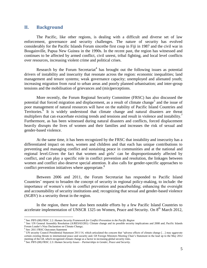# <span id="page-5-0"></span>**II. Background**

The Pacific, like other regions, is dealing with a difficult and diverse set of law enforcement, governance and security challenges. The nature of security has evolved considerably for the Pacific Islands Forum sincethe first coup in Fiji in 1987 and the civil war in Bougainville, Papua New Guinea in the 1990s. In the recent past, the region has witnessed and continues to be affected by armed conflict, civil unrest, tribal fighting, and local level conflicts over resources, increasing violent crime and political crises.

Research by the Forum Secretariat<sup>4</sup> has brought out the following issues as potential drivers of instability and insecurity that resonate across the region: economic inequalities; land management and tenure systems; weak governance capacity; unemployed and alienated youth; increasing migration from rural to urban areas and poorly planned urbanisation; and inter-group tensions and the mobilisation of grievances and (mis)perceptions.

More recently, the Forum Regional Security Committee (FRSC) has also discussed the potential that forced migration and displacement, as a result of climate change<sup>5</sup> and the issue of poor management of natural resources will have on the stability of Pacific Island Countries and Territories.<sup>6</sup> It is widely understood that climate change and natural disasters are threat multipliers that can exacerbate existing trends and tensions and result in violence and instability.<sup>7</sup> Furthermore, as has been witnessed during natural disasters and conflicts, forced displacement heavily disrupts the lives of women and their families and increases the risk of sexual and gender-based violence.

At the same time, it has been recognized by the FRSC that instability and insecurity has a differentiated impact on men, women and children and that each has unique contributions to preventing and managing conflict and sustaining peace in communities and at the national and regional level. Given the fact that women and girls' can be disproportionately affected by conflict, and can play a specific role in conflict prevention and resolution, the linkages between women and conflict also deserve special attention. It also calls for gender-specific approaches to conflict prevention initiatives where appropriate.<sup>8</sup>

Between 2006 and 2011, the Forum Secretariat has responded to Pacific Island Countries" request to broaden the concept of security in regional policy-making, to include: the importance of women"s role in conflict prevention and peacebuilding; enhancing the oversight and accountability of security institutions and; recognizing that sexual and gender-based violence (SGBV) is a security threat in the region.

In the region, there have also been notable efforts by a few Pacific Island Countries to accelerate implementation of UNSCR 1325 on Women, Peace and Security. On  $8<sup>th</sup>$  March 2012,

<sup>4</sup> See: PIFS (08) FRSC 2.2: *Human Security Framework for Conflict Prevention in the Pacific Region*

<sup>&</sup>lt;sup>5</sup> See: UN General Assembly Resolution (A/RES/63/281): Climate change and its possible security implications and 2008 and; Pacific Islands Forum Leader"s Niue Declaration on Climate Change;

<sup>6</sup> See: 2011 FRSC Outcomes Statement

<sup>7</sup> UN security Council Presidential Statement 2011/14, which articulated the concern that "adverse effects of climate change […] may aggravate certain existing threats to international peace and security and; G8 Foreign Ministers Meeting Chair"s Statement in the lead up to the May 2012 meeting of the G8, which recognized climate change as a factor in increasing global security risks.

<sup>8</sup> See: PIFS (08) FRSC 2.3: *Human Security Issues – Partnerships in Gender, Peace and Security.*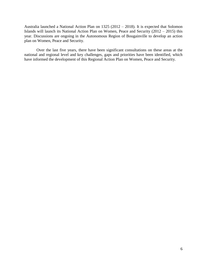Australia launched a National Action Plan on 1325 (2012 – 2018). It is expected that Solomon Islands will launch its National Action Plan on Women, Peace and Security (2012 – 2015) this year. Discussions are ongoing in the Autonomous Region of Bougainville to develop an action plan on Women, Peace and Security.

Over the last five years, there have been significant consultations on these areas at the national and regional level and key challenges, gaps and priorities have been identified, which have informed the development of this Regional Action Plan on Women, Peace and Security.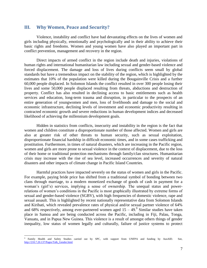#### <span id="page-7-0"></span>**III. Why Women, Peace and Security?**

Violence, instability and conflict have had devastating effects on the lives of women and girls including physically, emotionally and psychologically and in their ability to achieve their basic rights and freedoms. Women and young women have also played an important part in conflict prevention, management and recovery in the region.

Direct impacts of armed conflict in the region include death and injuries, violations of human rights and international humanitarian law including sexual and gender-based violence and forced displacement. The damage and loss of lives during conflicts seem small by global standards but have a tremendous impact on the stability of the region, which is highlighted by the estimates that 10% of the population were killed during the Bougainville Crisis and a further 60,000 people displaced. In Solomon Islands the conflict resulted in over 300 people losing their lives and some 50,000 people displaced resulting from threats, abductions and destruction of property. Conflict has also resulted in declining access to basic entitlements such as health services and education, long-term trauma and disruption, in particular to the prospects of an entire generation of youngwomen and men, loss of livelihoods and damage to the social and economic infrastructure, declining levels of investment and economic productivity resulting in contracted economic growth and severe reductions in human development indices and decreased likelihood of achieving the millennium development goals.

Hidden in statistics from conflicts, insecurity and instability in the region is the fact that women and children constitute a disproportionate number of those affected. Women and girls are also at greater risk of other threats to human security, such as sexual exploitation, disproportionate financial hardship in difficult economic times, and in some cases trafficking and prostitution. Furthermore, in times of natural disasters, which are increasing in the Pacific region, women and girls are more prone to sexual violence in the context of displacement, due to the loss of their home or traditional protection mechanisms through family/clan structures. Humanitarian crisis may increase with the rise of sea level, increased occurrences and severity of natural disasters and other impacts of climate change in Pacific Island Countries.

Harmful practices have impacted severely on the status of women and girls in the Pacific. For example, paying bride price has shifted from a traditional symbol of bonding between two clans through marriage, to a modern monetized exchange of goods of cash in payment for a woman's (girl's) services, implying a sense of ownership. The unequal status and powerrelations of women"s conditions in the Pacific is most graphically illustrated by extreme forms of sexual and gender-based violence (SGBV), with high frequencies of domestic violence, rape and sexual assault. This is highlighted by recent nationally representative data from Solomon Islands and Kiribati, which revealed prevalence rates of physical and/or sexual partner violence of 64% and 68% respectively, among ever-partnered women aged  $15 - 49$ . Similar studies have taken place in Samoa and are being conducted across the Pacific, including in Fiji, Palau, Tonga, Vanuatu, and in Papua New Guinea. This violence is a result of amongst others things of gender inequality, low status of women legally and culturally, failure of justice systems to protect

<sup>9</sup> Family Health and Safety Studies carried out by SPC, with support from UNFPA and funding by AusAID. See, [http://210.7.20.137/Pages/Talk\\_Gender.html](http://210.7.20.137/Pages/Talk_Gender.html)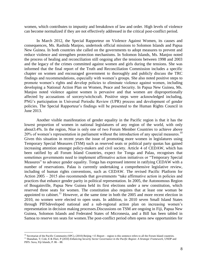women, which contributes to impunity and breakdown of law and order. High levels of violence can become normalized if they are not effectively addressed in the critical post-conflict period.

In March 2012, the Special Rapporteur on Violence Against Women, its causes and consequences, Ms. Rashida Manjoo, undertook official missions to Solomon Islands and Papua New Guinea. In both countries she called on the governments to adopt measures to prevent and reduce violence and strengthen protection mechanisms. In Solomon Islands, Ms. Manjoo noted the process of healing and reconciliation still ongoing after the tensions between 1998 and 2003 and the legacy of the crimes committed against women and girls during the tensions. She was informed that the final report of the Truth and Reconciliation Commission includes a specific chapter on women and encouraged government to thoroughly and publicly discuss the TRC findings and recommendations, especially with women"s groups. She also noted positive steps to promote women"s rights and develop policies to eliminate violence against women, including developing a National Action Plan on Women, Peace and Security. In Papua New Guinea, Ms. Manjoo noted violence against women is pervasive and that women are disproportionally affected by accusations of sorcery/witchcraft. Positive steps were acknowledged including, PNG"s participation in Universal Periodic Review (UPR) process and development of gender policies. The Special Rapporteur"s findings will be presented to the Human Rights Council in June 2013.

Another visible manifestation of gender equality in the Pacific region is that it has the lowest proportion of women in national legislatures of any region of the world, with only about3.4%. In the region, Niue is only one of two Forum Member Countries to achieve above 20% of women's representation in parliament without the introduction of any special measures.<sup>10</sup> Given this situation in recent years the issue of promoting more women in legislatures using Temporary Special Measures (TSM) such as reserved seats or political party quotas has gained increasing attention amongst policy-makers and civil society. Article 4 of CEDAW, which has been ratified by all Forum Island Countries, expect for Tonga and Palau, recognises that sometimes governments need to implement affirmative action initiatives or "Temporary Special Measures" to advance gender equality. Tonga has expressed interest in ratifying CEDAW with a number of reservations. Palau is currently undertaking a comprehensive legislative review, including of human rights conventions, such as CEDAW. The revised Pacific Platform for Action 2005 – 2015 also recommends that governments "take affirmative action in policies and practices that enhance gender parity in political representation. In 2005, the Autonomous Region of Bougainville, Papua New Guinea held its first elections under a new constitution, which reserved three seats for women. The constitution also requires that at least one woman be appointed to cabinet.<sup>11</sup> However, at the same time in both the 2005 and more recent election in 2010, no women were elected to open seats. In addition, in 2010 seven Small Island States through PIFSdeveloped national and a sub-regional action plan on increasing women"s representation in decision making processes.Discussions on TSM are ongoing in Fiji, Papua New Guinea, Solomon Islands and Federated States of Micronesia, and a Bill has been tabled in Samoa to reserve ten seats for women.The post-conflict period often opens new opportunities for

<sup>&</sup>lt;sup>10</sup> Secretariat of the Pacific Community (SPC), (2010) Beijing +15 Report – region is this sentence refers to all the Forum Island countries. <sup>11</sup> Shanahan, T; Cole, E & Fluri, P (2010) *Enhancing Security Sector Governance in the Pacific Region: A Strategic Framework*, UNDP and PIFS: Suva, Fiji Islands, P. 86 – 88.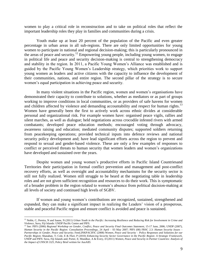women to play a critical role in reconstruction and to take on political roles that reflect the important leadership roles they play in families and communities during a crisis.

Youth make up at least 20 percent of the population of the Pacific and even greater percentage in urban areas in all sub-regions. There are only limited opportunities for young women to participate in national and regional decision-making; this is particularly pronounced in the areas of peace and security.<sup>12</sup> Empowering young people, including young women, to engage in political life and peace and security decision-making is central to strengthening democracy and stability in the region. In 2011, a Pacific Young Women"s Alliance was established and is guided by the Pacific Young Women"s Leadership strategy, which priorities work to support young women as leaders and active citizens with the capacity to influence the development of their communities, nations, and entire region. The second pillar of the strategy is to secure women"s equal participation in achieving peace and security.

In many violent situations in the Pacific region, women and women"s organisations have demonstrated their capacity to contribute to solutions, whether as mediators or as part of groups working to improve conditions in local communities, or as providers of safe havens for women and children affected by violence and demanding accountability and respect for human rights.<sup>13</sup> Women have generally been the first to actively work across ethnic divides at considerable personal and organizational risk. For example women have: organised peace vigils, rallies and silent marches, as well as dialogue; held negotiations across crocodile infested rivers with armed combatants; developed peace education methods; encouraged voting through advocacy, awareness raising and education; mediated community disputes; supported soldiers returning from peacekeeping operations; provided technical inputs into defence reviews and national security policy development and; have lead significant efforts across the region to prevent and respond to sexual and gender-based violence. These are only a few examples of responses to conflict or perceived threats to human security that women leaders and women"s organizations have developed and sustained over the years.

Despite women and young women"s productive efforts in Pacific Island Countriesand Territories their participation in formal conflict prevention and management and post-conflict recovery efforts, as well as oversight and accountability mechanisms for the security sector is still not fully realized. Women still struggle to be heard at the negotiating table in leadership roles and are not given sufficient recognition and resources to do their work. This is symptomatic of a broader problem in the region related to women"s absence from political decision-making at all levels of society and continued high levels of SGBV.

If women and young women"s contributions are recognized, sustained, strengthened and expanded, they can make a significant impact in realizing the Leaders' vision of a prosperous, stable and peaceful Pacific region and ensure conflict is avoided and peace is sustained.

<sup>&</sup>lt;sup>12</sup> Noble, C; Pereira, N and Saune, N (2011) *Urban Youth in the Pacific: Increasing Resilience and Reducing Risk for Involvement in Crime and Violence*, Suva, Fiji Islands: UNDP Pacific Centre and PIFS.

<sup>&</sup>lt;sup>13</sup> See: PIFS (2006) *Regional Workshop on Gender, Conflict, Peace and Security Final Outcomes Statement*, 15-17 June, 2006; UNDP (2007), *Human Security in the Pacific Region: Consultation Proceedings*, 24 April – 03 May 2007; PIFS (08) FRSC 2.3: *Human Security Issues – Partnerships in Gender, Peace and Security*; FemLINKPACIFIC (2008) *Women, Peace and Security – Policy Responses and Solutions for our Pacific Region*; Shanahan, T; Cole, E & Fluri, P (2010) *Enhancing Security Sector Governance in the Pacific Region: A Strategic Framework*, UNDP and PIFS: Suva, Fiji Islands and; Porter, E; Mundkur, A & Every, D (2011) *Women, Peace and Security in Partner Countries: Analysis of the Impact of UNSCR 1325*, Policy Brief written for AusAID.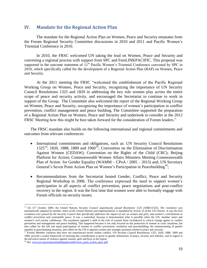## <span id="page-10-0"></span>**IV. Mandate for the Regional Action Plan**

The mandate for the Regional Action Plan on Women, Peace and Security emanates from the Forum Regional Security Committee discussions in 2010 and 2011 and Pacific Women"s Triennial Conference in 2010.

In 2010, the FRSC welcomed UN taking the lead on Women, Peace and Security and convening a regional process with support from SPC and FemLINKPACIFIC. This proposal was supported in the outcome statement of 11<sup>th</sup> Pacific Women's Triennial Conference convened by SPC in 2010, which specifically called for the development of a Regional Action Plan (RAP) on Women, Peace and Security.

At the 2011 meeting the FRSC "welcomed the establishment of the Pacific Regional Working Group on Women, Peace and Security, recognizing the importance of UN Security Council Resolutions 1325 and 1820 in addressing the key role women play across the entire scope of peace and security activity, and encouraged the Secretariat to continue to work in support of the Group. The Committee also welcomed the report of the Regional Working Group on Women, Peace and Security, recognizing the importance of women"s participation in conflict prevention, conflict management and peace building. The Committee supported the preparation of a Regional Action Plan on Women, Peace and Security and undertook to consider at the 2012 FRSC Meeting how this might be best taken forward for the consideration of Forum leaders."

The FRSC mandate also builds on the following international and regional commitments and outcomes from relevant conferences:

- International commitments and obligations, such as: UN Security Council Resolutions  $1325^{14}$ , 1820, 1888, 1889 and 1960<sup>15</sup>; Convention on the Elimination of Discrimination Against Women (CEDAW); Convention on the Rights of the Child (CRC); Beijing Platform for Action; Commonwealth Women Affairs Ministers Meeting Commonwealth Plan of Action for Gender Equality (WAMM – CPoA / 2005 – 2015) and; UN Secretary General's Seven Point Action Plan on Women's Participation in Peacebuilding<sup>16</sup>;
- Recommendations from the Secretariat hosted Gender, Conflict, Peace and Security Regional Workshop in 2006. The conference expressed the need to support women"s participation in all aspects of conflict prevention, peace negotiations and post-conflict recovery in the region. It was the first time that women were able to formally engage with Forum officials on security issues;

<sup>&</sup>lt;sup>14</sup> On 31<sup>st</sup> October 2000, the United Nations Security Council unanimously passed Resolution 1325 (S/RES/1325). The resolution was *automatically adopted by member states of the United Nations and implementation is mandated by Article 25 of the UN Charter. It was the first resolution ever passed by the Security Council that specifically addresses the impact of war on women and girls, and women's contributions to conflict prevention and sustainable peace.* It was a watershed, because it demonstrated what is possible when the UN, member states and women's civil society collaborate. The resolution signaled a shift in the role of women from victimhood to critical change agents in conflict prevention and management and peace building. This happened because it not only focused on the protection of women in crisis situations, but also called for the full and equal participation of women in conflict prevention, resolution and peacebuilding; the mainstreaming of gender equality in peacekeeping missions; and called for the UN to appoint women into strategic positions related to peace and security.

<sup>&</sup>lt;sup>15</sup> Evenin Member countries that have not experienced recent violent conflict, UN Security Council Resolutions 1325, 1820, 1888, 1889 and 1960, provide a useful framework of ensuring due consideration is given to gender dimensions of peace, security and stability, and in regard to the pervasive nature of violence against women, girls and boys in the region.

<sup>&</sup>lt;sup>16</sup> See: [www.un.org/en/peacebuilding/pbso/pdf/seven\\_point\\_action\\_plan..pdf](http://www.un.org/en/peacebuilding/pbso/pdf/seven_point_action_plan..pdf)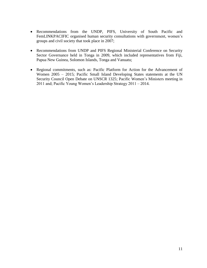- Recommendations from the UNDP, PIFS, University of South Pacific and FemLINKPACIFIC organised human security consultations with government, women's groups and civil society that took place in 2007;
- Recommendations from UNDP and PIFS Regional Ministerial Conference on Security Sector Governance held in Tonga in 2009, which included representatives from Fiji, Papua New Guinea, Solomon Islands, Tonga and Vanuatu;
- Regional commitments, such as: Pacific Platform for Action for the Advancement of Women 2005 – 2015; Pacific Small Island Developing States statements at the UN Security Council Open Debate on UNSCR 1325; Pacific Women's Ministers meeting in 2011 and; Pacific Young Women"s Leadership Strategy 2011 – 2014.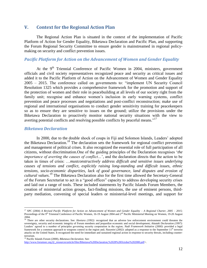# <span id="page-12-0"></span>**V. Context for the Regional Action Plan**

The Regional Action Plan is situated in the context of the implementation of Pacific Platform of Action for Gender Equality, Biketawa Declaration and Pacific Plan, and supporting the Forum Regional Security Committee to ensure gender is mainstreamed in regional policymaking on security and conflict prevention issues.

#### <span id="page-12-1"></span>*Pacific Platform for Action on the Advancement of Women and Gender Equality*

At the  $9<sup>th</sup>$  Triennial Conference of Pacific Women in 2004, ministers, government officials and civil society representatives recognized peace and security as critical issues and added it to the Pacific Platform of Action on the Advancement of Women and Gender Equality 2005 – 2015. The conference called on governments to: "implement UN Security Council Resolution 1325 which provides a comprehensive framework for the promotion and support of the protection of women and their role in peacebuilding at all levels of our society right from the family unit; recognise and enhance women's inclusion in early warning systems, conflict prevention and peace processes and negotiations and post-conflict reconstruction; make use of regional and international organisations to conduct gender sensitivity training for peacekeepers so as to ensure they are sensitive to issues on the ground; utilize the provisions under the Biketawa Declaration to proactively monitor national security situations with the view to averting potential conflicts and resolving possible conflicts by peaceful means."<sup>17</sup>

#### <span id="page-12-2"></span>*Biketawa Declaration*

 $\overline{a}$ 

In 2000, due to the double shock of coups in Fiji and Solomon Islands, Leaders" adopted the Biketawa Declaration.*<sup>18</sup>* The declaration sets the framework for regional conflict prevention and management of political crises. It also recognized the essential role of full participation of all citizens, without discrimination.One of the guiding principles of the Declaration recognises "*the importance of averting the causes of conflict*...', and the declaration directs that the action to be taken in times of crisis: …*mustconstructively address difficult and sensitive issues underlying causes of tensions and conflict, explicitly raising long-standing and difficult issues, ethnic tensions, socio-economic disparities, lack of good governance, land disputes and erosion of cultural values*. <sup>19</sup> The Biketawa Declaration also for the first time allowed the Secretary-General of the Forum Secretariat to act in a "good offices" capacity to address developing security crises and laid out a range of tools. These included statements by Pacific Islands Forum Members, the creation of ministerial action groups, fact-finding missions, the use of eminent persons, thirdparty mediation, convening of special leaders or ministerial-level meetings, and support for

<sup>19</sup> Pacific Islands Forum (2000), *Biketawa Declaration*. See:

[http://www.forumsec.org.fj/\\_resources/article/files/Biketawa%20Declaration,%2028%20October%202000.pdf>](http://www.forumsec.org.fj/_resources/article/files/Biketawa%20Declaration,%2028%20October%202000.pdf).

<sup>17</sup> SPC (2004) *A Revised Pacific Platform for Action on Advancement of Women and Gender Equality – A Regional Charter, 2005 – 2015;*  Proceedings of the 9<sup>th</sup> Triennial Conference of Pacific Women, 16-19 August 2004 and 2<sup>nd</sup> Pacific Ministerial Meeting on Women, 19-20 August 2004.

<sup>&</sup>lt;sup>18</sup> There are other security declarations. See: *Honiara (1992):* recognized that an adverse law enforcement environment could threaten the sovereignty, security and economic integrity of Forum members and jeopardize economic and social development; *Aitutaki Declaration (1997)*: Leaders" agreed to a number of principles governing security cooperation in the region; *Nadi Framework Initiative (2000)*: provided a legal framework for a common approach to weapons control in the region and; *Nasonini* (2002): adopted as a response to the September 11<sup>th</sup> terrorist attacks on the United States. It recognized the need for immediate and sustained regional action in response to security threats, including counterterrorism.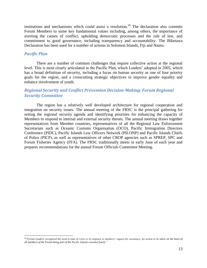institutions and mechanisms which could assist a resolution.<sup>20</sup> The declaration also commits Forum Members to some key fundamental values including, among others, the importance of averting the causes of conflict, upholding democratic processes and the rule of law, and commitment to good governance, including transparency and accountability. The Biketawa Declaration has been used for a number of actions in Solomon Islands, Fiji and Nauru.

#### <span id="page-13-0"></span>*Pacific Plan*

 $\overline{a}$ 

There are a number of common challenges that require collective action at the regional level. This is most clearly articulated in the Pacific Plan, which Leaders' adopted in 2005, which has a broad definition of security, including a focus on human security as one of four priority goals for the region, and a crosscutting strategic objectives to improve gender equality and enhance involvement of youth.

# <span id="page-13-1"></span>*Regional Security and Conflict Prevention Decision-Making: Forum Regional Security Committee*

The region has a relatively well developed architecture for regional cooperation and integration on security issues. The annual meeting of the FRSC is the principal gathering for setting the regional security agenda and identifying priorities for enhancing the capacity of Members to respond to internal and external security threats. The annual meeting draws together representatives from Member countries, representatives of all the Regional Law Enforcement Secretariats such as Oceanic Customs Organisation (OCO), Pacific Immigration Directors Conference (PIDC), Pacific Islands Law Officers Network (PILONP) and Pacific Islands Chiefs of Police (PICP), as well as representatives of other CROP agencies such as SPREP, SPC and Forum Fisheries Agency (FFA). The FRSC traditionally meets in early June of each year and prepares recommendations for the annual Forum Officials Committee Meeting.

<sup>&</sup>lt;sup>20"</sup>*Forum Leaders recognised the need in time of crisis or in response to members' request for assistance, for action to be taken on the basis of all members of the Forum being part of the Pacific Islands extended family."*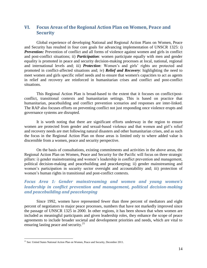# <span id="page-14-0"></span>**VI. Focus Areas of the Regional Action Plan on Women, Peace and Security**

Global experience of developing National and Regional Action Plans on Women, Peace and Security has resulted in four core goals for advancing implementation of UNSCR 1325: i) **Prevention:** Prevention of conflict and all forms of violence against women and girls in conflict and post-conflict situations; ii) *Participation*: women participate equally with men and gender equality is promoted in peace and security decision-making processes at local, national, regional and international levels and; iii) **Protection**: Women's and girls' rights are protected and promoted in conflict-affected situations and; iv) *Relief and Recovery*: highlighting the need to meet women and girls specific relief needs and to ensure that women's capacities to act as agents in relief and recovery are reinforced in humanitarian crises and conflict and post-conflict situations.

This Regional Action Plan is broad-based to the extent that it focuses on conflict/postconflict, transitional contexts and humanitarian settings. This is based on practice that humanitarian, peacebuilding and conflict prevention scenarios and responses are inter-linked. The RAP also focuses efforts on preventing conflict not just responding once violence erupts and governance systems are disrupted.

It is worth noting that there are significant efforts underway in the region to ensure women are protected from gender and sexual-based violence and that women and girl"s relief and recovery needs are met following natural disasters and other humanitarian crises, and as such the focus in the Regional Action Plan on those areas is limited only to where added value is discernible from a women, peace and security perspective.

On the basis of consultations, existing commitments and activities in the above areas, the Regional Action Plan on Women, Peace and Security for the Pacific will focus on three strategic pillars: i) gender mainstreaming and women"s leadership in conflict prevention and management, political decision-making and peacebuilding and peacekeeping; ii) gender mainstreaming and women"s participation in security sector oversight and accountability and; iii) protection of women"s human rights in transitional and post-conflict contexts.

# <span id="page-14-1"></span>*Focus Area 1: Gender mainstreaming and women and young women's leadership in conflict prevention and management, political decision-making and peacebuilding and peacekeeping*

Since 1992, women have represented fewer than three percent of mediators and eight percent of negotiators to major peace processes, numbers that have not markedly improved since the passage of UNSCR 1325 in 2000. In other regions, it has been shown that when women are included as meaningful participants and given leadership roles, they enhance the scope of peace agreements to include broader societal and development priorities and needs, which are vital to ensuring lasting peace and security.<sup>21</sup>

<sup>&</sup>lt;sup>21</sup> See: United States National Action Plan on Women, Peace and Security, December 2011.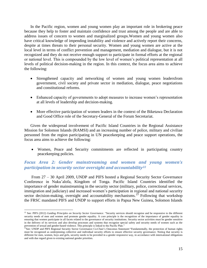In the Pacific region, women and young women play an important role in brokering peace because they help to foster and maintain confidence and trust among the people and are able to address issues of concern to women and marginalized groups.Women and young women also have critical knowledge of impending instability and violence and actively report their concerns, despite at times threats to their personal security. Women and young women are active at the local level in terms of conflict prevention and management, mediation and dialogue, but it is not recognized and they do not receive enough support to participate in formal efforts at the regional or national level. This is compounded by the low level of women"s political representation at all levels of political decision-making in the region. In this context, the focus area aims to achieve the following:

- Strengthened capacity and networking of women and young women leadersfrom government, civil society and private sector in mediation, dialogue, peace negotiations and constitutional reforms.
- Enhanced capacity of governments to adopt measures to increase women"s representation at all levels of leadership and decision-making.
- More effective participation of women leaders in the context of the Biketawa Declaration and Good Office role of the Secretary-General of the Forum Secretariat.

Given the widespread involvement of Pacific Island Countries in the Regional Assistance Mission for Solomon Islands (RAMSI) and an increasing number of police, military and civilian personnel from the region participating in UN peacekeeping and peace support operations, the focus area aims to achieve the following:

 Women, Peace and Security commitments are reflected in participating country peacekeeping policies.

# <span id="page-15-0"></span>*Focus Area 2: Gender mainstreaming and women and young women's participation in security sector oversight and accountability<sup>22</sup>*

From 27 – 30 April 2009, UNDP and PIFS hosted a Regional Security Sector Governance Conference in Nuku"alofa, Kingdom of Tonga. Pacific Island Countries identified the importance of gender mainstreaming in the security sector (military, police, correctional services, immigration and judiciary) and increased women's participation in regional and national security sector decision-making, oversight and accountability mechanisms.<sup>23</sup> Following that workshop the FRSC mandated PIFS and UNDP to support efforts in Papua New Guinea, Solomon Islands

<sup>22</sup> See: PIFS (2012) *Guiding Principles on Security Sector Governance*. "Security services should recognise and be responsive to the different security needs of men and women and promote gender equality. A core principle is the recognition of the importance of gender equality in ensuring that women participate in all facets related to the governance of security institutions. Security sector activities must be gender sensitive in the delivery of its services and also develop processes and systems that recognise special safety and security needs of women such as the prevention of sexual and gender-based violence. This principle is linked to the Pacific Plan."

<sup>&</sup>lt;sup>23</sup>See: UNDP and PIFS Regional Security Sector Governance Co-Chair's Outcomes Statement: "Fundamentally, the protection of human rights must be recognized as underpinning collective and individual security efforts to ensure effective security governance. Noting that security is different for men, women, boys and girls, security needs to be provided in a gender responsive way, in accordance with international obligations and with due regard given to existing national gender priorities.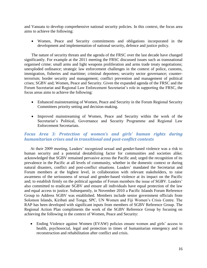and Vanuatu to develop comprehensive national security policies. In this context, the focus area aims to achieve the following:

 Women, Peace and Security commitments and obligations incorporated in the development and implementation of national security, defence and justice policy.

The nature of security threats and the agenda of the FRSC over the last decade have changed significantly. For example at the 2011 meeting the FRSC discussed issues such as transnational organised crime; small arms and light weapons proliferation and arms trade treaty negotiations; unexploded ordinance; strategic law enforcement challenges in the context of police, customs, immigration, fisheries and maritime; criminal deportees; security sector governance; counterterrorism; border security and management; conflict prevention and management of political crises; SGBV and; Women, Peace and Security. Given the expanded agenda of the FRSC and the Forum Secretariat and Regional Law Enforcement Secretariat's role in supporting the FRSC, the focus areas aims to achieve the following:

- Enhanced mainstreaming of Women, Peace and Security in the Forum Regional Security Committees priority setting and decision-making.
- Improved mainstreaming of Women, Peace and Security within the work of the Secretariat's Political, Governance and Security Programme and Regional Law Enforcement Secretariats.

# <span id="page-16-0"></span>*Focus Area 3: Protection of women's and girls' human rights during humanitarian crises and in transitional and post-conflict contexts*

At their 2009 meeting, Leaders' recognized sexual and gender-based violence was a risk to human security and a potential destabilizing factor for communities and societies alike; acknowledged that SGBV remained pervasive across the Pacific and; urged the recognition of its prevalence in the Pacific at all levels of community, whether in the domestic context or during natural disasters, conflict and post-conflict situations. Leaders" mandated the Secretariat and Forum members at the highest level, in collaboration with relevant stakeholders, to raise awareness of the seriousness of sexual and gender-based violence at its impact on the Pacific and; to establish firmly on the political agendas of Forum members the issue of SGBV. Leaders' also committed to eradicate SGBV and ensure all individuals have equal protection of the law and equal access to justice. Subsequently, in November 2010 a Pacific Islands Forum Reference Group to Address SGBV was established. Members include senior government officials from Solomon Islands, Kiribati and Tonga; SPC, UN Women and Fiji Women"s Crisis Centre. The RAP has been developed with significant inputs from members of SGBV Reference Group. The Regional Action Plan compliments the work of the SGBV Reference Group by focusing on achieving the following in the context of Women, Peace and Security:

• Ending Violence against Women (EVAW) policies ensure women and girls' access to health, psychosocial, legal and protection in times of humanitarian emergency and in reconstruction and rehabilitation after conflict and crisis.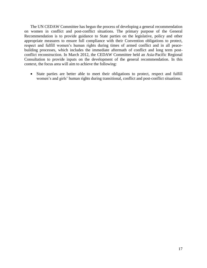The UN CEDAW Committee has begun the process of developing a general recommendation on women in conflict and post-conflict situations. The primary purpose of the General Recommendation is to provide guidance to State parties on the legislative, policy and other appropriate measures to ensure full compliance with their Convention obligations to protect, respect and fulfill women"s human rights during times of armed conflict and in all peacebuilding processes, which includes the immediate aftermath of conflict and long term postconflict reconstruction. In March 2012, the CEDAW Committee held an Asia-Pacific Regional Consultation to provide inputs on the development of the general recommendation. In this context, the focus area will aim to achieve the following:

 State parties are better able to meet their obligations to protect, respect and fulfill women's and girls' human rights during transitional, conflict and post-conflict situations.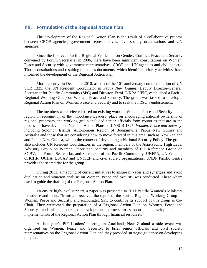# <span id="page-18-0"></span>**VII. Formulation of the Regional Action Plan**

The development of the Regional Action Plan is the result of a collaborative process between CROP agencies, government representatives, civil society organisations and UN agencies.

Since the first ever Pacific Regional Workshop on Gender, Conflict, Peace and Security convened by Forum Secretariat in 2006, there have been significant consultations on Women, Peace and Security with government representatives, CROP and UN agencies and civil society. Those consultations and resulting outcomes documents, which identified priority activities, have informed the development of the Regional Action Plan.

More recently, in December 2010, as part of the  $10<sup>th</sup>$  anniversary commemoration of UN SCR 1325, the UN Resident Coordinator in Papua New Guinea, Deputy Director-General, Secretariat for Pacific Community (SPC) and Director, FemLINKPACIFIC, established a Pacific Regional Working Group on Women, Peace and Security. The group was tasked to develop a Regional Action Plan on Women, Peace and Security and to seek the FRSC"s endorsement.

The members were selected based on existing work on Women, Peace and Security in the region. In recognition of the importance Leaders' place on encouraging national ownership of regional processes, the working group included senior officials from countries that are in the process or have developed National Action Plans on UNSCR 1325: *Women, Peace and Security*, including Solomon Islands, Autonomous Region of Bougainville, Papua New Guinea and Australia and those that are considering how to move forward in this area, such as New Zealand and Papua New Guinea, within the context of developing a National Security Policy. The group also includes UN Resident Coordinators in the region, members of the Asia-Pacific High Level Advisory Group on Women, Peace and Security and members of PIF Reference Group on SGBV, the Forum Secretariat, and Secretariat of the Pacific Community, UNFPA, UN Women, OHCHR, OCHA, ESCAP and UNICEF and civil society organizations. UNDP Pacific Centre provides the secretariat for the group.

During 2011, a mapping of current initiatives to ensure linkages and synergies and avoid duplication and situation analysis on Women, Peace and Security was conducted. These where used to guide the drafting of the Regional Action Plan.

To ensure high-level support, a paper was presented to 2011 Pacific Women"s Ministers for advice and input. "Ministers received the report of the Pacific Regional Working Group on Women, Peace and Security, and encouraged SPC to continue its support of this group as Co-Chair. They welcomed the preparation of a Regional Action Plan on Women, Peace and Security, and also encouraged development partners to support the development and implementation of the Regional Action Plan through financial resources."

At last year's PIF Leaders' meeting in Auckland, New Zealand a side event was organised on Women, Peace and Security, to brief senior officials and civil society representatives on the Regional Action Plan and they provided strategic guidance on developing the plan.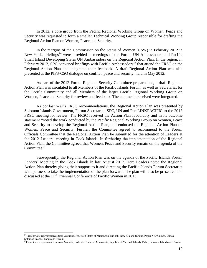In 2012, a core group from the Pacific Regional Working Group on Women, Peace and Security was requested to form a smaller Technical Working Group responsible for drafting the Regional Action Plan on Women, Peace and Security.

In the margins of the Commission on the Status of Women (CSW) in February 2012 in New York, briefings<sup>24</sup> were provided to meetings of the Forum UN Ambassadors and Pacific Small Island Developing States UN Ambassadors on the Regional Action Plan. In the region, in February 2012, SPC convened briefings with Pacific Ambassadors<sup>25</sup> that attend the FRSC on the Regional Action Plan and integrated their feedback. A draft Regional Action Plan was also presented at the PIFS-CSO dialogue on conflict, peace and security, held in May 2012.

As part of the 2012 Forum Regional Security Committee preparations, a draft Regional Action Plan was circulated to all Members of the Pacific Islands Forum, as well as Secretariat for the Pacific Community and all Members of the larger Pacific Regional Working Group on Women, Peace and Security for review and feedback. The comments received were integrated.

As per last year"s FRSC recommendations, the Regional Action Plan was presented by Solomon Islands Government, Forum Secretariat, SPC, UN and FemLINKPACIFIC to the 2012 FRSC meeting for review. The FRSC received the Action Plan favourably and in its outcome statement "noted the work conducted by the Pacific Regional Working Group on Women, Peace and Security to develop the Regional Action Plan, and endorsed the Regional Action Plan on Women, Peace and Security. Further, the Committee agreed to recommend to the Forum Officials Committee that the Regional Action Plan be submitted for the attention of Leaders at the 2012 Leaders" meeting in Cook Islands. In furthering the implementation of the Regional Action Plan, the Committee agreed that Women, Peace and Security remain on the agenda of the Committee."

Subsequently, the Regional Action Plan was on the agenda of the Pacific Islands Forum Leaders" Meeting in the Cook Islands in late August 2012. Here Leaders noted the Regional Action Plan thereby giving their support to it and directing the Pacific Islands Forum Secretariat with partners to take the implementation of the plan forward. The plan will also be presented and discussed at the 11<sup>th</sup> Triennial Conference of Pacific Women in 2013.

<sup>&</sup>lt;sup>24</sup> Present were representatives from Australia, Federated States of Micronesia, Kiribati, New Zealand (Chair), Papua New Guinea, Samoa, Solomon Islands, Tonga and Tuvalu.

<sup>&</sup>lt;sup>25</sup>Present were representatives from Australia, Federated States of Micronesia, Republic of Marshall Islands, Palau, Solomon Islands and Tuvalu.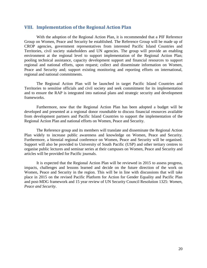# <span id="page-20-0"></span>**VIII. Implementation of the Regional Action Plan**

With the adoption of the Regional Action Plan, it is recommended that a PIF Reference Group on Women, Peace and Security be established. The Reference Group will be made up of CROP agencies, government representatives from interested Pacific Island Countries and Territories, civil society stakeholders and UN agencies. The group will provide an enabling environment at the regional level to support implementation of the Regional Action Plan; pooling technical assistance, capacity development support and financial resources to support regional and national efforts, upon request; collect and disseminate information on Women, Peace and Security and; support existing monitoring and reporting efforts on international, regional and national commitments.

The Regional Action Plan will be launched in target Pacific Island Countries and Territories to sensitise officials and civil society and seek commitment for its implementation and to ensure the RAP is integrated into national plans and strategic security and development frameworks.

Furthermore, now that the Regional Action Plan has been adopted a budget will be developed and presented at a regional donor roundtable to discuss financial resources available from development partners and Pacific Island Countries to support the implementation of the Regional Action Plan and national efforts on Women, Peace and Security.

The Reference group and its members will translate and disseminate the Regional Action Plan widely to increase public awareness and knowledge on Women, Peace and Security. Furthermore, a biennial regional conference on Women, Peace and Security will be organised. Support will also be provided to University of South Pacific (USP) and other tertiary centres to organise public lectures and seminar series at their campuses on Women, Peace and Security and articles will be provided for Pacific journals.

It is expected that the Regional Action Plan will be reviewed in 2015 to assess progress, impacts, challenges and lessons learned and decide on the future direction of the work on Women, Peace and Security in the region. This will be in line with discussions that will take place in 2015 on the revised Pacific Platform for Action for Gender Equality and Pacific Plan and post-MDG framework and 15 year review of UN Security Council Resolution 1325: *Women, Peace and Security*.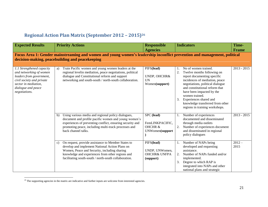# **Regional Action Plan Matrix (September 2012 – 2015)<sup>26</sup>**

<span id="page-21-0"></span>

| <b>Expected Results</b>                                                                                                                                                      | <b>Priority Actions</b>                                                                                                                                                                                                                                                 | <b>Responsible</b><br><b>Agencies</b>                                  | <b>Indicators</b>                                                                                                                                                                                                                                                                                                                                    | Time-<br><b>Frame</b> |  |  |  |  |
|------------------------------------------------------------------------------------------------------------------------------------------------------------------------------|-------------------------------------------------------------------------------------------------------------------------------------------------------------------------------------------------------------------------------------------------------------------------|------------------------------------------------------------------------|------------------------------------------------------------------------------------------------------------------------------------------------------------------------------------------------------------------------------------------------------------------------------------------------------------------------------------------------------|-----------------------|--|--|--|--|
| Focus Area 1: Gender mainstreaming and women and young women's leadership inconflict prevention and management, political<br>decision-making, peacebuilding and peacekeeping |                                                                                                                                                                                                                                                                         |                                                                        |                                                                                                                                                                                                                                                                                                                                                      |                       |  |  |  |  |
| 1.1 Strengthened capacity<br>and networking of women<br>leaders from government,<br>civil society and private<br>sector in mediation,<br>dialogue and peace<br>negotiations. | Train Pacific women and young women leaders at the<br>a)<br>regional levelin mediation, peace negotiations, political<br>dialogue and Constitutional reform and support<br>networking and south-south / north-south collaboration.                                      | PIFS(lead)<br>UNDP, OHCHR&<br><b>UN</b><br>Women(support)              | No of women trained.<br>2.<br>Twelve months following on<br>report documenting specific<br>incidences of mediation, peace<br>negotiations, political dialogue<br>and constitutional reform that<br>have been impacted by the<br>women trained.<br>3.<br>Experiences shared and<br>knowledge transferred from other<br>regions in training workshops. | $2013 - 2015$         |  |  |  |  |
|                                                                                                                                                                              | Using various media and regional policy dialogues,<br>b)<br>document and profile pacific women and young women's<br>experiences of preventing conflict, ensuring security and<br>promoting peace, including multi-track processes and<br>back channel talks.            | SPC (lead)<br>FemLINKPACIFIC,<br><b>OHCHR &amp;</b><br>UNWomen(support | Number of experiences<br>1.<br>documented and disseminated<br>through media outlets<br>2.<br>Number of experiences document<br>and disseminated in regional<br>policy dialogues                                                                                                                                                                      | $2013 - 2015$         |  |  |  |  |
|                                                                                                                                                                              | On request, provide assistance to Member States to<br>c)<br>develop and implement National Action Plans on<br>Women, Peace and Security, including sharing<br>knowledge and experiences from other regions and<br>facilitating south-south / north-south collaboration. | PIFS(lead)<br>UNDP, UNWomen,<br><b>OHCHR&amp; UNFPA</b><br>(support)   | Number of NAPs being<br>1.<br>developed and requesting<br>assistance.<br>Number of NAPs funded and/or<br>2.<br>implemented.<br>3.<br>Degree to which RAP is<br>integrated into NAPs and other<br>national plans and strategic                                                                                                                        | $2012 -$<br>2015      |  |  |  |  |

 $^{26}$  The supporting agencies in the matrix are indicative and further inputs are welcome from interested agencies.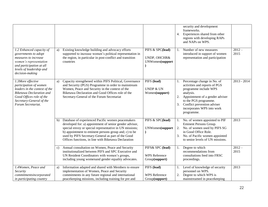|                                                                                                                                                                                               |                                                                                                                                                                                                                                                                                                                                                                          | security and development<br>frameworks.<br>Experiences shared from other<br>4.<br>regions with developing RAPs<br>and NAPs on WPS.                                                                                                                                           |
|-----------------------------------------------------------------------------------------------------------------------------------------------------------------------------------------------|--------------------------------------------------------------------------------------------------------------------------------------------------------------------------------------------------------------------------------------------------------------------------------------------------------------------------------------------------------------------------|------------------------------------------------------------------------------------------------------------------------------------------------------------------------------------------------------------------------------------------------------------------------------|
| 1.2 Enhanced capacity of<br>governments to adopt<br>measures to increase<br>women's representation<br>and participation at all<br>levels of leadership and<br>decision-making                 | Existing knowledge building and advocacy efforts<br>PIFS & SPC(lead)<br>a)<br>supported to increase women's political representation in<br>the region, in particular in post-conflict and transition<br>UNDP, OHCHR&<br>countries                                                                                                                                        | $2012 -$<br>Number of new measures<br>1.<br>2015<br>introduced in support of women<br>representation and participation<br>UNWomen(support                                                                                                                                    |
| 1.3More effective<br>participation of women<br>leaders in the context of the<br><b>Biketawa Declaration and</b><br>Good Offices role of the<br>Secretary-General of the<br>Forum Secretariat. | PIFS (lead)<br>Capacity strengthened within PIFS Political, Governance<br>a)<br>and Security (PGS) Programme in order to mainstream<br>Women, Peace and Security in the context of the<br><b>UNDP &amp; UN</b><br>Biketawa Declaration and Good Offices role of the<br>Women(support)<br>Secretary-General of the Forum Secretariat                                      | $2013 - 2014$<br>Percentage change in No. of<br>Ι.<br>activities and reports of PGS<br>programme include WPS<br>analysis.<br>Appointment of a gender adviser<br>2.<br>to the PGS programme.<br>Conflict prevention adviser<br>3.<br>incorporates WPS into work<br>programme. |
|                                                                                                                                                                                               | Database of experienced Pacific women peacemakers<br>PIFS & SPC(lead)<br>b)<br>developed for: a) appointment of senior gender advisor,<br>special envoy or special representative in UN missions;<br>b) appointment to eminent persons group and; c) to be<br>used by PIFS Secretary-General as part of the Good<br>Offices functions, in line with Biketawa Declaration | No. of women appointed to PIF<br>2013<br>Eminent Persons Group.<br>No. of women used by PIFS SG<br>2.<br>UNWomen(support<br>in Good Office Role.<br>No. of Pacific women appointed<br>3.<br>to senior levels of UN missions.                                                 |
|                                                                                                                                                                                               | Annual consultation on Women, Peace and Security<br>PIFS& SPC (lead)<br>c)<br>institutionalized between PIFS and SPC Executive and<br>UN Resident Coordinators with women's groups,<br><b>WPS</b> Reference<br>including young womenand gender equality advocates.<br>Group(support)                                                                                     | Degree to which<br>$2012 -$<br>recommendations from<br>2015<br>consultations feed into FRSC<br>proceedings.                                                                                                                                                                  |
| 1.4Women, Peace and<br>Security<br>commitmentsincorporated<br>in participating country                                                                                                        | Information adapted and shared with Members to ensure<br>PIFS (lead)<br>a)<br>implementation of Women, Peace and Security<br>commitments in any future regional and international<br><b>WPS</b> Reference<br>peacekeeping missions, including training for pre and<br>Group(support)                                                                                     | 2013<br>1. Level of knowledge of security<br>personnel on WPS.<br>Degree to which WPS is<br>2.<br>mainstreamed in peacekeeping                                                                                                                                               |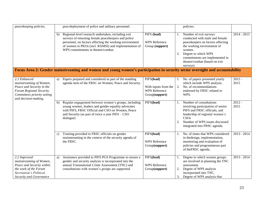| peacekeeping policies.                                                                                                                                 |              | post-deployment of police and military personnel.                                                                                                                                                                                                                  |                                                                              |                      | policies.                                                                                                                                                                                                                                   |                  |
|--------------------------------------------------------------------------------------------------------------------------------------------------------|--------------|--------------------------------------------------------------------------------------------------------------------------------------------------------------------------------------------------------------------------------------------------------------------|------------------------------------------------------------------------------|----------------------|---------------------------------------------------------------------------------------------------------------------------------------------------------------------------------------------------------------------------------------------|------------------|
|                                                                                                                                                        | b)           | Regional-level research undertaken, including exit<br>surveys of returning female peacekeepers and police<br>personnel, on factors affecting the working environment<br>of women in PKOs (incl. RAMSI) and implementation of<br>WPS commitments in theatre/combat. | PIFS (lead)<br><b>WPS</b> Reference<br>Group (support)                       | 2.                   | Number of exit surveys<br>conducted with male and female<br>peacekeepers on factors affecting<br>the working environment of<br>women.<br>Degree to which WPS<br>commitments are implemented in<br>theatre/combat (based on exit<br>surveys) | $2014 - 2015$    |
|                                                                                                                                                        |              | Focus Area 2: Gender mainstreaming and women and young women's participation in security sector oversight and accountability                                                                                                                                       |                                                                              |                      |                                                                                                                                                                                                                                             |                  |
| 2.1 Enhanced<br>mainstreaming of Women,<br>Peace and Security in the<br>Forum Regional Security<br>Committees priority setting<br>and decision-making. | a)           | Papers prepared and considered as part of the standing<br>agenda item of the FRSC on Women, Peace and Security.                                                                                                                                                    | PIFS(lead)<br>With inputs from the<br><b>WPS Reference</b><br>Group(support) | 1.                   | No. of papers presented yearly<br>which include WPS analysis.<br>2. No. of recommendations<br>endorsed by FRSC related to<br>WPS.                                                                                                           | $2012 -$<br>2015 |
|                                                                                                                                                        | b)           | Regular engagement between women's groups, including<br>young women, leaders and gender equality advocates<br>with PIFS, FRSC Official and CSO on Women, Peace<br>and Security (as part of twice a year PIFS - CSO<br>dialogue)                                    | PIFS(lead)                                                                   | $\mathbf{1}$ .<br>2. | Number of consultations<br>involving participation of senior<br>PIFS and FRSC officials, and<br>leadership of regional women's<br>CSOs<br>Number of WPS issues discussed<br>integrated into FRSC agenda.                                    | $2012 -$<br>2015 |
|                                                                                                                                                        | $\mathbf{c}$ | Training provided to FRSC officials on gender<br>mainstreaming in the context of the security agenda of<br>the FRSC.                                                                                                                                               | PIFS(lead)<br><b>WPS</b> Reference<br>Group(support)                         | $\mathbf{1}$ .       | No. of times that WPS considered<br>in the<br>design, implementation,<br>monitoring and evaluation of<br>policies and programmesas part<br>of theFRSC agenda.                                                                               | $2013 - 2014$    |
| 2.2 Improved<br>mainstreaming of Women,<br>Peace and Security within<br>the work of the Forum<br>Secretariat's Political,<br>Security and Governance   | a)           | Assistance provided to PIFS PGS Programme to ensure a<br>gender and security analysis is incorporated into the<br>annual Transnational Crime Assessment (TNC) and<br>consultations with women's groups are supported.                                              | PIFS(lead)<br><b>WPS</b> Reference<br>Group(support)                         | 1.<br>2.<br>3.       | Degree to which women groups<br>are involved in planning the TNC<br>assessment.<br>Degree of WPS analysis<br>incorporated into TNC.<br>Degree of WPS analysis that                                                                          | $2013 - 2014$    |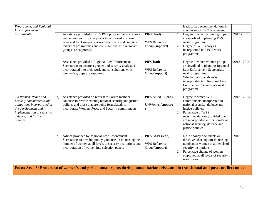| Programme, and Regional<br>Law Enforcement                                                                                                                                 |    |                                                                                                                                                                                                                                                            |                                                           |    | leads to key recommendations in<br>conclusion of TNC assessment.                                                                                                                                                                                                 |               |  |
|----------------------------------------------------------------------------------------------------------------------------------------------------------------------------|----|------------------------------------------------------------------------------------------------------------------------------------------------------------------------------------------------------------------------------------------------------------|-----------------------------------------------------------|----|------------------------------------------------------------------------------------------------------------------------------------------------------------------------------------------------------------------------------------------------------------------|---------------|--|
| Secretariats.                                                                                                                                                              | b) | Assistance provided to PIFS PGS programme to ensure a<br>gender and security analysis is incorporated into small<br>arms and light weapons, arms trade treaty and counter-<br>terrorism programmes and consultations with women's<br>groups are supported. | PIFS (lead)<br><b>WPS Reference</b><br>Group (support)    | 2. | 1. Degree to which women groups<br>are involved in planning PGS<br>work programme<br>Degree of WPS analysis<br>incorporated into PGS work<br>programme                                                                                                           | $2013 - 2014$ |  |
|                                                                                                                                                                            | c) | Assistance provided to Regional Law Enforcement<br>Secretariats to ensure a gender and security analysis is<br>incorporated into their work and consultations with<br>women's groups are supported.                                                        | PIFS(lead)<br><b>WPS</b> Reference<br>Group(support)      | 2. | Degree to which women groups<br>are involved in planning Regional<br><b>Law Enforcement Secretariats</b><br>work programme<br>Whether WPS analysis is<br>incorporated into Regional Law<br><b>Enforcement Secretariats work</b><br>programme                     | $2013 - 2014$ |  |
| 2.3 Women, Peace and<br>Security commitments and<br>obligations incorporated in<br>the development and<br>implementation of security,<br>defence, and justice<br>policies. | a) | Assistance provided on request to Forum member<br>countriesto review existing national security and justice<br>policies and those that are being formulated, to<br>incorporate Women, Peace and Security commitments                                       | PIFS & UNDP(lead)<br>UNWomen(support                      |    | Degree to which WPS<br>commitments incorporated in<br>national security, defence and<br>justice policies.<br>2. Percentage of WPS<br>recommendations provided that<br>are incorporated in final drafts of<br>national security, defence and<br>justice policies. | $2013 - 2015$ |  |
|                                                                                                                                                                            | b) | Advice provided to Regional Law Enforcement<br>Secretariats to develop policy guidance on increasing the<br>number of women at all levels of security institutions and<br>incorporation of women into selection panels                                     | PIFS &SPC(lead)<br><b>WPS</b> Reference<br>Group(support) | 2. | 1. No. of policy documents or<br>directives that support increasing<br>numbers of women at all levels of<br>security institutions.<br>Percentage change of women<br>employed at all levels of security<br>institutions.                                          | 2013          |  |
| Focus Area 3: Protection of women's and girl's human rights during humanitarian crises and in transitional and post-conflict contexts                                      |    |                                                                                                                                                                                                                                                            |                                                           |    |                                                                                                                                                                                                                                                                  |               |  |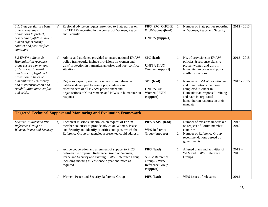| 3.1. State parties are better<br>able to meet their<br>obligations to protect,<br>respect and fulfill women's<br>human rights during<br>conflict and post-conflict<br>situations | a)           | Regional advice on request provided to State parties on<br>its CEDAW reporting in the context of Women, Peace<br>and Security.                                                                                                    | PIFS, SPC, OHCHR<br>& UNWomen(lead)<br><b>UNFPA</b> (support)                       |          | Number of State parties reporting<br>on Women, Peace and Security.                                                                                                                            | $2012 - 2013$    |
|----------------------------------------------------------------------------------------------------------------------------------------------------------------------------------|--------------|-----------------------------------------------------------------------------------------------------------------------------------------------------------------------------------------------------------------------------------|-------------------------------------------------------------------------------------|----------|-----------------------------------------------------------------------------------------------------------------------------------------------------------------------------------------------|------------------|
| 3.2 EVAW policies &<br>Humanitarian response<br>plans ensure women and<br>girls' access to health,<br>psychosocial, legal and<br>protection in times of                          | a)           | Advice and guidance provided to ensure national EVAW<br>policy frameworks include provisions on women and<br>girls' protection in humanitarian crises and post-conflict<br>situations.                                            | SPC (lead)<br><b>UNFPA &amp; UN</b><br>Women (support)                              |          | 1. No. of provisions in EVAW<br>policies & response plans to<br>protect women and girls in<br>humanitarian crises and post-<br>conflict situations.                                           | $2013 - 2015$    |
| humanitarian emergency<br>and in reconstruction and<br>rehabilitation after conflict<br>and crisis.                                                                              | b)           | Rigorous capacity standards set and comprehensive<br>database developed to ensure preparedness and<br>effectiveness of all EVAW practitioners and<br>organisations of Governments and NGOs in humanitarian<br>response.           | SPC (lead)<br>UNFPA, UN<br>Women, UNDP<br>(support)                                 |          | Number of EVAW practitioners<br>and organisations that have<br>completed "Gender in<br>Humanitarian response" training<br>and have incorporated<br>humanitarian response in their<br>mandate. | $2013 - 2015$    |
|                                                                                                                                                                                  |              | <b>Targeted Technical Support and Monitoring and Evaluation Framework</b>                                                                                                                                                         |                                                                                     |          |                                                                                                                                                                                               |                  |
| Leaders' established PIF<br>Reference Group on<br>Women, Peace and Security                                                                                                      | a)           | Technical missions undertaken on request of Forum<br>member countries to provide advice on Women, Peace<br>and Security and identify priorities and gaps, which the<br>Reference Group or agencies represented could address.     | PIFS & SPC (lead)<br><b>WPS Reference</b><br>Group (support)                        | 1.<br>2. | Number of missions undertaken<br>on request of Forum member<br>countries.<br>Number of Reference Group<br>recommendations agreed by<br>governments.                                           | $2012 -$<br>2015 |
|                                                                                                                                                                                  | b)           | Active cooperation and alignment of support to PICS<br>between the proposed Reference Group on Women,<br>Peace and Security and existing SGBV Reference Group,<br>including meeting at least once a year and more as<br>required. | PIFS (lead)<br><b>SGBV Reference</b><br>Group & WPS<br>Reference Group<br>(support) |          | Aligned plans and activities of<br>WPS and SGBV Reference<br>Groups                                                                                                                           | $2012 -$<br>2015 |
|                                                                                                                                                                                  | $\mathbf{c}$ | Women, Peace and Security Reference Group                                                                                                                                                                                         | PIFS (lead)                                                                         |          | WPS issues of relevance                                                                                                                                                                       | $2012 -$         |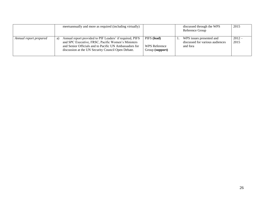|                        | meetsannually and more as required (including virtually)                                                                                                                                                                             |                                                        | discussed through the WPS<br>Reference Group                            | 2015            |
|------------------------|--------------------------------------------------------------------------------------------------------------------------------------------------------------------------------------------------------------------------------------|--------------------------------------------------------|-------------------------------------------------------------------------|-----------------|
| Annual report prepared | Annual report provided to PIF Leaders' if required, PIFS<br>a)<br>and SPC Executive, FRSC, Pacific Women's Ministers<br>and Senior Officials and to Pacific UN Ambassadors for<br>discussion at the UN Security Council Open Debate. | PIFS (lead)<br><b>WPS</b> Reference<br>Group (support) | WPS issues presented and<br>discussed for various audiences<br>and fora | $2012-$<br>2015 |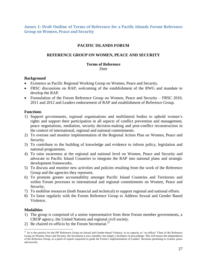<span id="page-27-0"></span>**Annex 1: Draft Outline of Terms of Reference for a Pacific Islands Forum Reference Group on Women, Peace and Security**

# **PACIFIC ISLANDS FORUM**

# **REFERENCE GROUP ON WOMEN, PEACE AND SECURITY**

#### **Terms of Reference**

*Date*

#### **Background**

- Existence as Pacific Regional Working Group on Women, Peace and Security.
- FRSC discussions on RAP, welcoming of the establishment of the RWG and mandate to develop the RAP.
- Formulation of the Forum Reference Group on Women, Peace and Security FRSC 2010, 2011 and 2012 and Leaders endorsement of RAP and establishment of Reference Group.

#### **Functions**

- 1) Support governments, regional organisations and multilateral bodies to uphold women"s rights and support their participation in all aspects of conflict prevention and management, peace negotiations, mediation, security decision-making and post-conflict reconstruction in the context of international, regional and national commitments.
- 2) To oversee and monitor implementation of the Regional Action Plan on Women, Peace and Security.
- 3) To contribute to the building of knowledge and evidence to inform policy, legislation and national programmes.
- 4) To raise awareness at the regional and national level on Women, Peace and Security and advocate to Pacific Island Countries to integrate the RAP into national plans and strategic development frameworks.
- 5) To discuss and monitor new activities and policies resulting from the work of the Reference Group and the agencies they represent.
- 6) To promote greater accountability amongst Pacific Island Countries and Territories and within Forum processes to international and regional commitments on Women, Peace and Security.
- 7) To mobilise resources (both financial and technical) to support regional and national efforts.
- 8) To liaise regularly with the Forum Reference Group to Address Sexual and Gender Based Violence.

# **Modalities**

- 1) The group is comprised of a senior representative from three Forum member governments, a CROP agency, the United Nations and regional civil society.
- 2) Be chaired ex-officio by the Forum Secretariat.<sup>27</sup>

<sup>&</sup>lt;sup>27</sup> As is the practice for the PIF Reference Group on Sexual and Gender-based Violence, in its capacity as "ex-officio" Chair of the Reference Group on Women, Peace and Security, the Secretariat is not a member, but simply a facilitator of proceedings. This will ensure the independence of the Reference Group, as a panel of experts requested to guide the Forum"s implementation of Leaders" decisions pertaining to women, peace and security.